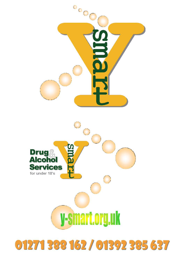